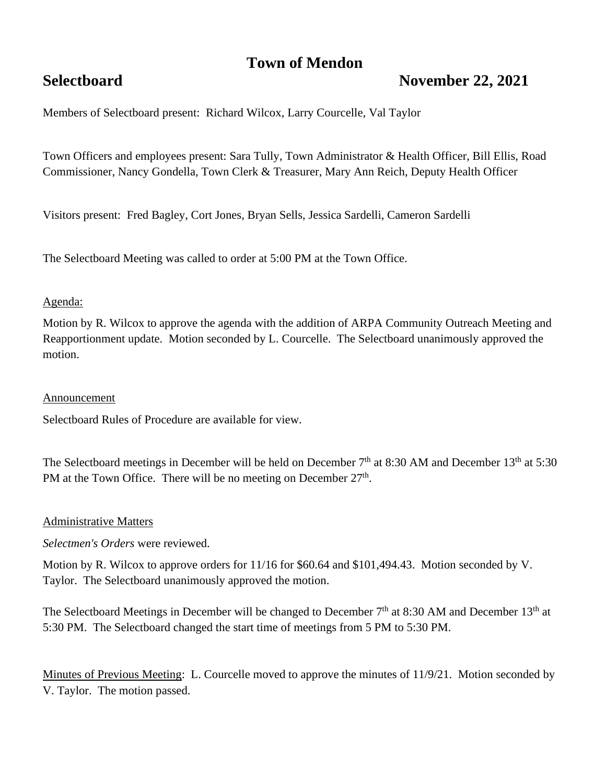# **Town of Mendon**

# **Selectboard November 22, 2021**

Members of Selectboard present: Richard Wilcox, Larry Courcelle, Val Taylor

Town Officers and employees present: Sara Tully, Town Administrator & Health Officer, Bill Ellis, Road Commissioner, Nancy Gondella, Town Clerk & Treasurer, Mary Ann Reich, Deputy Health Officer

Visitors present: Fred Bagley, Cort Jones, Bryan Sells, Jessica Sardelli, Cameron Sardelli

The Selectboard Meeting was called to order at 5:00 PM at the Town Office.

### Agenda:

Motion by R. Wilcox to approve the agenda with the addition of ARPA Community Outreach Meeting and Reapportionment update. Motion seconded by L. Courcelle. The Selectboard unanimously approved the motion.

#### Announcement

Selectboard Rules of Procedure are available for view.

The Selectboard meetings in December will be held on December  $7<sup>th</sup>$  at 8:30 AM and December 13<sup>th</sup> at 5:30 PM at the Town Office. There will be no meeting on December 27<sup>th</sup>.

#### Administrative Matters

*Selectmen's Orders* were reviewed.

Motion by R. Wilcox to approve orders for 11/16 for \$60.64 and \$101,494.43. Motion seconded by V. Taylor. The Selectboard unanimously approved the motion.

The Selectboard Meetings in December will be changed to December  $7<sup>th</sup>$  at 8:30 AM and December 13<sup>th</sup> at 5:30 PM. The Selectboard changed the start time of meetings from 5 PM to 5:30 PM.

Minutes of Previous Meeting: L. Courcelle moved to approve the minutes of 11/9/21. Motion seconded by V. Taylor. The motion passed.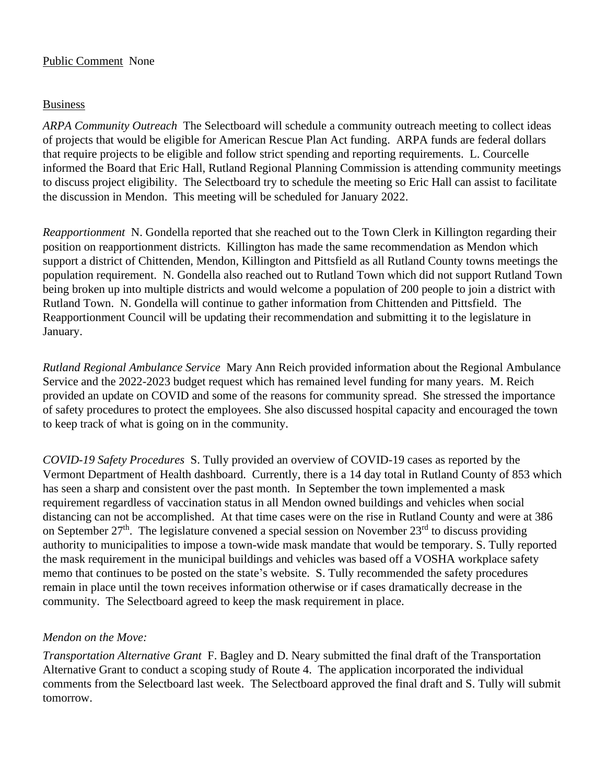## Public Comment None

## Business

*ARPA Community Outreach* The Selectboard will schedule a community outreach meeting to collect ideas of projects that would be eligible for American Rescue Plan Act funding. ARPA funds are federal dollars that require projects to be eligible and follow strict spending and reporting requirements. L. Courcelle informed the Board that Eric Hall, Rutland Regional Planning Commission is attending community meetings to discuss project eligibility. The Selectboard try to schedule the meeting so Eric Hall can assist to facilitate the discussion in Mendon. This meeting will be scheduled for January 2022.

*Reapportionment* N. Gondella reported that she reached out to the Town Clerk in Killington regarding their position on reapportionment districts. Killington has made the same recommendation as Mendon which support a district of Chittenden, Mendon, Killington and Pittsfield as all Rutland County towns meetings the population requirement. N. Gondella also reached out to Rutland Town which did not support Rutland Town being broken up into multiple districts and would welcome a population of 200 people to join a district with Rutland Town. N. Gondella will continue to gather information from Chittenden and Pittsfield. The Reapportionment Council will be updating their recommendation and submitting it to the legislature in January.

*Rutland Regional Ambulance Service* Mary Ann Reich provided information about the Regional Ambulance Service and the 2022-2023 budget request which has remained level funding for many years. M. Reich provided an update on COVID and some of the reasons for community spread. She stressed the importance of safety procedures to protect the employees. She also discussed hospital capacity and encouraged the town to keep track of what is going on in the community.

*COVID-19 Safety Procedures* S. Tully provided an overview of COVID-19 cases as reported by the Vermont Department of Health dashboard. Currently, there is a 14 day total in Rutland County of 853 which has seen a sharp and consistent over the past month. In September the town implemented a mask requirement regardless of vaccination status in all Mendon owned buildings and vehicles when social distancing can not be accomplished. At that time cases were on the rise in Rutland County and were at 386 on September  $27<sup>th</sup>$ . The legislature convened a special session on November  $23<sup>rd</sup>$  to discuss providing authority to municipalities to impose a town-wide mask mandate that would be temporary. S. Tully reported the mask requirement in the municipal buildings and vehicles was based off a VOSHA workplace safety memo that continues to be posted on the state's website. S. Tully recommended the safety procedures remain in place until the town receives information otherwise or if cases dramatically decrease in the community. The Selectboard agreed to keep the mask requirement in place.

# *Mendon on the Move:*

*Transportation Alternative Grant* F. Bagley and D. Neary submitted the final draft of the Transportation Alternative Grant to conduct a scoping study of Route 4. The application incorporated the individual comments from the Selectboard last week. The Selectboard approved the final draft and S. Tully will submit tomorrow.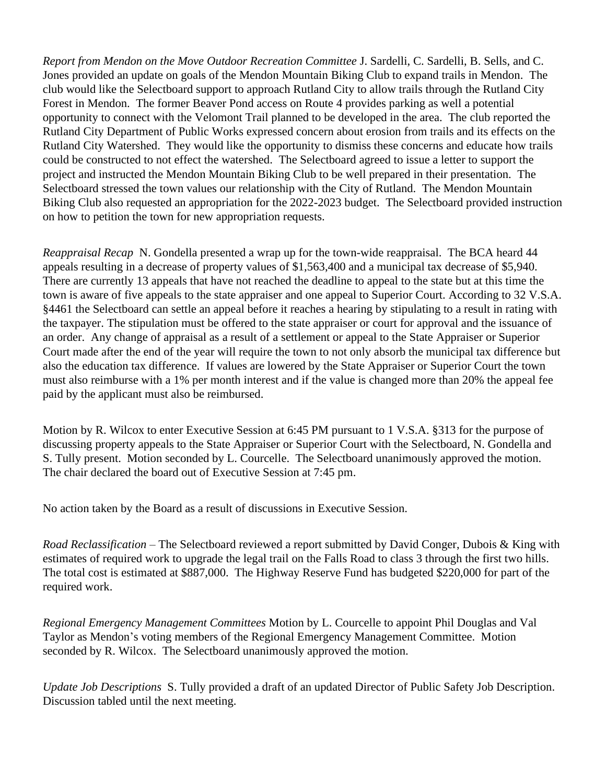*Report from Mendon on the Move Outdoor Recreation Committee* J. Sardelli, C. Sardelli, B. Sells, and C. Jones provided an update on goals of the Mendon Mountain Biking Club to expand trails in Mendon. The club would like the Selectboard support to approach Rutland City to allow trails through the Rutland City Forest in Mendon. The former Beaver Pond access on Route 4 provides parking as well a potential opportunity to connect with the Velomont Trail planned to be developed in the area. The club reported the Rutland City Department of Public Works expressed concern about erosion from trails and its effects on the Rutland City Watershed. They would like the opportunity to dismiss these concerns and educate how trails could be constructed to not effect the watershed. The Selectboard agreed to issue a letter to support the project and instructed the Mendon Mountain Biking Club to be well prepared in their presentation. The Selectboard stressed the town values our relationship with the City of Rutland. The Mendon Mountain Biking Club also requested an appropriation for the 2022-2023 budget. The Selectboard provided instruction on how to petition the town for new appropriation requests.

*Reappraisal Recap* N. Gondella presented a wrap up for the town-wide reappraisal. The BCA heard 44 appeals resulting in a decrease of property values of \$1,563,400 and a municipal tax decrease of \$5,940. There are currently 13 appeals that have not reached the deadline to appeal to the state but at this time the town is aware of five appeals to the state appraiser and one appeal to Superior Court. According to 32 V.S.A. §4461 the Selectboard can settle an appeal before it reaches a hearing by stipulating to a result in rating with the taxpayer. The stipulation must be offered to the state appraiser or court for approval and the issuance of an order. Any change of appraisal as a result of a settlement or appeal to the State Appraiser or Superior Court made after the end of the year will require the town to not only absorb the municipal tax difference but also the education tax difference. If values are lowered by the State Appraiser or Superior Court the town must also reimburse with a 1% per month interest and if the value is changed more than 20% the appeal fee paid by the applicant must also be reimbursed.

Motion by R. Wilcox to enter Executive Session at 6:45 PM pursuant to 1 V.S.A. §313 for the purpose of discussing property appeals to the State Appraiser or Superior Court with the Selectboard, N. Gondella and S. Tully present. Motion seconded by L. Courcelle. The Selectboard unanimously approved the motion. The chair declared the board out of Executive Session at 7:45 pm.

No action taken by the Board as a result of discussions in Executive Session.

*Road Reclassification* – The Selectboard reviewed a report submitted by David Conger, Dubois & King with estimates of required work to upgrade the legal trail on the Falls Road to class 3 through the first two hills. The total cost is estimated at \$887,000. The Highway Reserve Fund has budgeted \$220,000 for part of the required work.

*Regional Emergency Management Committees* Motion by L. Courcelle to appoint Phil Douglas and Val Taylor as Mendon's voting members of the Regional Emergency Management Committee. Motion seconded by R. Wilcox. The Selectboard unanimously approved the motion.

*Update Job Descriptions* S. Tully provided a draft of an updated Director of Public Safety Job Description. Discussion tabled until the next meeting.